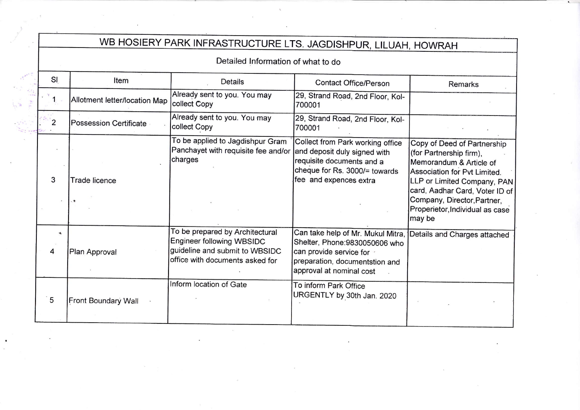## WB HOSIERY PARK INFRASTRUCTURE LTS. JAGDISHPUR, LILUAH, HOWRAH

Detailed lnformation of what to do

| SI             | Item                          | <b>Details</b>                                                                                                                    | Contact Office/Person                                                                                                                                                  | Remarks                                                                                                                                                                                                                                                        |
|----------------|-------------------------------|-----------------------------------------------------------------------------------------------------------------------------------|------------------------------------------------------------------------------------------------------------------------------------------------------------------------|----------------------------------------------------------------------------------------------------------------------------------------------------------------------------------------------------------------------------------------------------------------|
| $\mathbf{1}$   | Allotment letter/location Map | Already sent to you. You may<br>collect Copy                                                                                      | 29, Strand Road, 2nd Floor, Kol-<br>700001                                                                                                                             |                                                                                                                                                                                                                                                                |
| $\overline{2}$ | Possession Certificate        | Already sent to you. You may<br>collect Copy                                                                                      | 29, Strand Road, 2nd Floor, Kol-<br>700001                                                                                                                             |                                                                                                                                                                                                                                                                |
| 3              | <b>Trade licence</b>          | To be applied to Jagdishpur Gram<br>Panchayet with requisite fee and/or<br>charges                                                | Collect from Park working office<br>and deposit duly signed with<br>requisite documents and a<br>cheque for Rs. 3000/= towards<br>fee and expences extra               | Copy of Deed of Partnership<br>(for Partnership firm),<br>Memorandum & Article of<br>Association for Pvt Limited.<br>LLP or Limited Company, PAN<br>card, Aadhar Card, Voter ID of<br>Company, Director, Partner,<br>Properietor, Individual as case<br>may be |
|                | Plan Approval                 | To be prepared by Architectural<br>Engineer following WBSIDC<br>guideline and submit to WBSIDC<br>office with documents asked for | Can take help of Mr. Mukul Mitra,  <br>Shelter, Phone: 9830050606 who<br>can provide service for $\cdot$<br>preparation, documentstion and<br>approval at nominal cost | Details and Charges attached                                                                                                                                                                                                                                   |
| ່ 5            | Front Boundary Wall           | Inform location of Gate                                                                                                           | To inform Park Office<br>URGENTLY by 30th Jan. 2020                                                                                                                    |                                                                                                                                                                                                                                                                |

 $\sim 18\%$